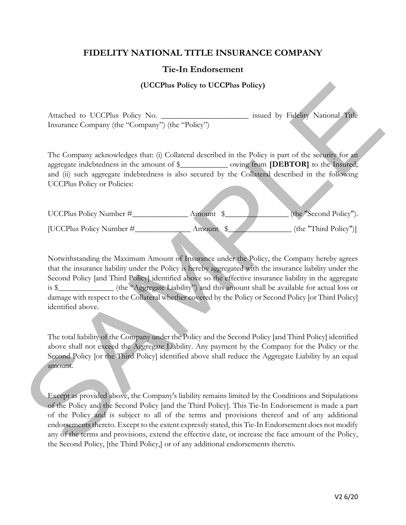## **FIDELITY NATIONAL TITLE INSURANCE COMPANY**

## **Tie-In Endorsement**

## **(UCCPlus Policy to UCCPlus Policy)**

Attached to UCCPlus Policy No. \_\_\_\_\_\_\_\_\_\_\_\_\_\_\_\_\_\_\_\_\_\_\_\_\_\_\_\_ issued by Fidelity National Title Insurance Company (the "Company") (the "Policy")

The Company acknowledges that: (i) Collateral described in the Policy is part of the security for an aggregate indebtedness in the amount of \$\_\_\_\_\_\_\_\_\_\_\_\_ owing from **[DEBTOR]** to the Insured; and (ii) such aggregate indebtedness is also secured by the Collateral described in the following UCCPlus Policy or Policies:

| UCCPlus Policy Number #  | Amount   | (the "Second Policy"). |
|--------------------------|----------|------------------------|
| [UCCPlus Policy Number # | Amount 5 | (the "Third Policy")]  |

Notwithstanding the Maximum Amount of Insurance under the Policy, the Company hereby agrees that the insurance liability under the Policy is hereby aggregated with the insurance liability under the Second Policy [and Third Policy] identified above so the effective insurance liability in the aggregate is \$\_\_\_\_\_\_\_\_\_\_\_\_\_\_ (the "Aggregate Liability") and this amount shall be available for actual loss or damage with respect to the Collateral whether covered by the Policy or Second Policy [or Third Policy] identified above. **CICCPlus Policy to UCCPlus Policy by the state of the Same of the Same of the Same of the Same of the Same of the Same of the Same of the Same of the Same of the Same of the Same of the Same of the Same of the Same of th** 

The total liability of the Company under the Policy and the Second Policy [and Third Policy] identified above shall not exceed the Aggregate Liability. Any payment by the Company for the Policy or the Second Policy [or the Third Policy] identified above shall reduce the Aggregate Liability by an equal amount.

Except as provided above, the Company's liability remains limited by the Conditions and Stipulations of the Policy and the Second Policy [and the Third Policy]. This Tie-In Endorsement is made a part of the Policy and is subject to all of the terms and provisions thereof and of any additional endorsements thereto. Except to the extent expressly stated, this Tie-In Endorsement does not modify any of the terms and provisions, extend the effective date, or increase the face amount of the Policy, the Second Policy, [the Third Policy,] or of any additional endorsements thereto.